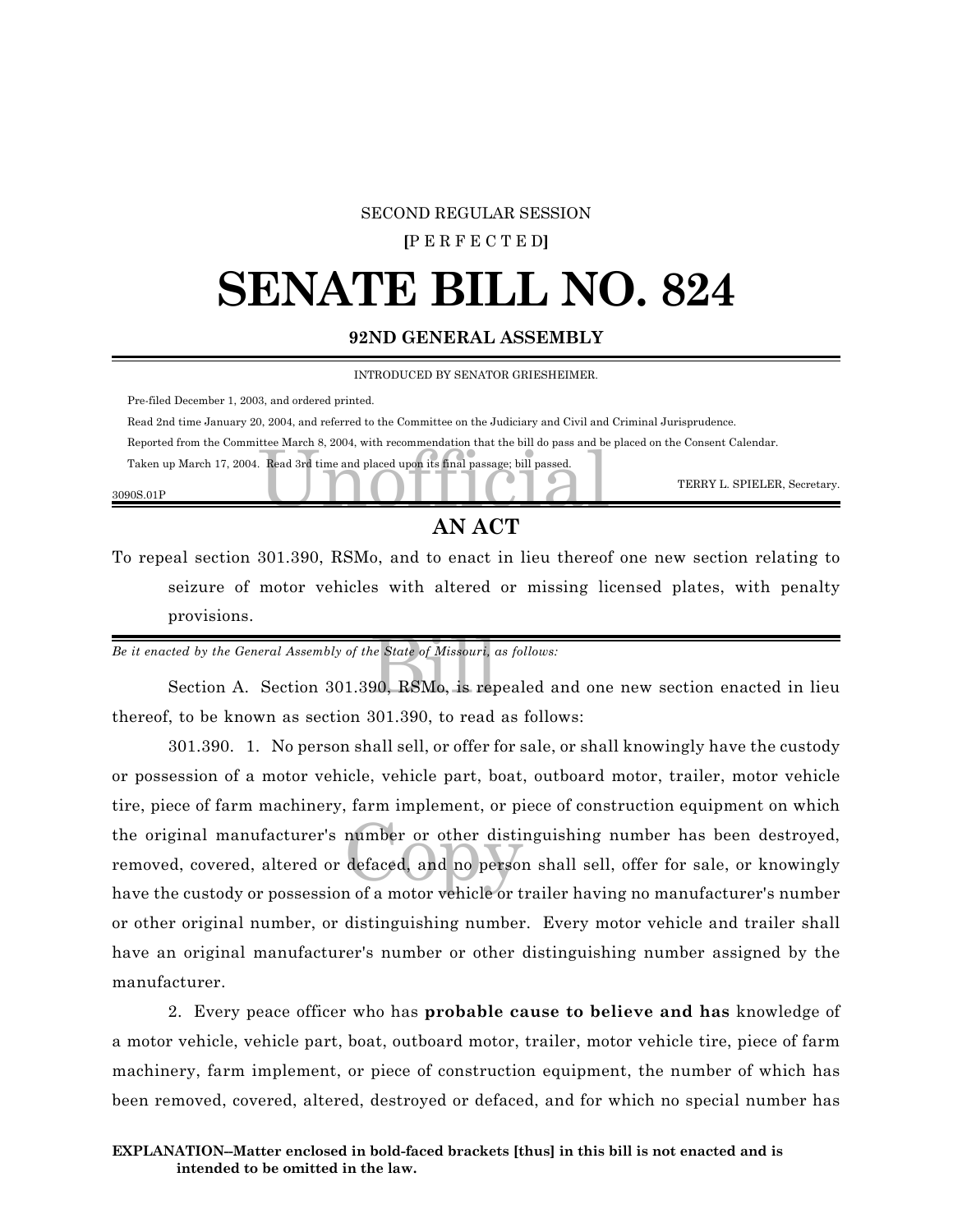#### SECOND REGULAR SESSION

#### **[**P E R F E C T E D**]**

### **SENATE BILL NO. 824**

#### **92ND GENERAL ASSEMBLY**

INTRODUCED BY SENATOR GRIESHEIMER.

Pre-filed December 1, 2003, and ordered printed.

Read 2nd time January 20, 2004, and referred to the Committee on the Judiciary and Civil and Criminal Jurisprudence.

Reported from the Committee March 8, 2004, with recommendation that the bill do pass and be placed on the Consent Calendar.

the waren 8, 2004, with recommendation that the bill do pass and be<br>Read 3rd time and placed upon its final passage; bill passed. Taken up March 17, 2004. Read 3rd time and placed upon its final passage; bill passed.

3090S.01P

TERRY L. SPIELER, Secretary.

#### **AN ACT**

To repeal section 301.390, RSMo, and to enact in lieu thereof one new section relating to seizure of motor vehicles with altered or missing licensed plates, with penalty provisions.

*Be it enacted by the General Assembly of the State of Missouri, as follows:*

he State of Missouri, c<br>90, RSMo, is rep Section A. Section 301.390, RSMo, is repealed and one new section enacted in lieu thereof, to be known as section 301.390, to read as follows:

number or other distined<br>defaced, and no person 301.390. 1. No person shall sell, or offer for sale, or shall knowingly have the custody or possession of a motor vehicle, vehicle part, boat, outboard motor, trailer, motor vehicle tire, piece of farm machinery, farm implement, or piece of construction equipment on which the original manufacturer's number or other distinguishing number has been destroyed, removed, covered, altered or defaced, and no person shall sell, offer for sale, or knowingly have the custody or possession of a motor vehicle or trailer having no manufacturer's number or other original number, or distinguishing number. Every motor vehicle and trailer shall have an original manufacturer's number or other distinguishing number assigned by the manufacturer.

2. Every peace officer who has **probable cause to believe and has** knowledge of a motor vehicle, vehicle part, boat, outboard motor, trailer, motor vehicle tire, piece of farm machinery, farm implement, or piece of construction equipment, the number of which has been removed, covered, altered, destroyed or defaced, and for which no special number has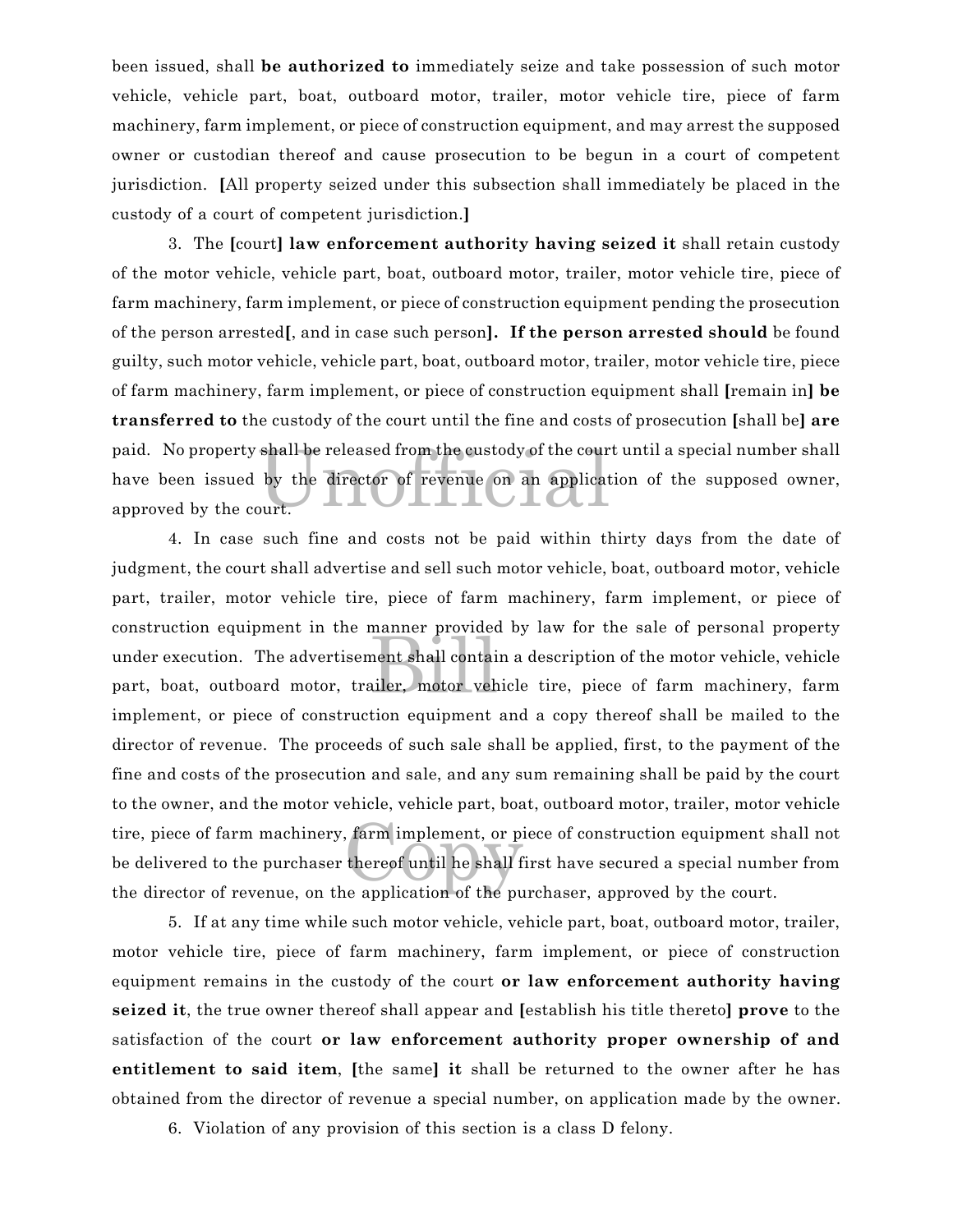been issued, shall **be authorized to** immediately seize and take possession of such motor vehicle, vehicle part, boat, outboard motor, trailer, motor vehicle tire, piece of farm machinery, farm implement, or piece of construction equipment, and may arrest the supposed owner or custodian thereof and cause prosecution to be begun in a court of competent jurisdiction. **[**All property seized under this subsection shall immediately be placed in the custody of a court of competent jurisdiction.**]**

shall be released from the custody of the cour<br>by the director of revenue on an applicat<br>ourt. 3. The **[**court**] law enforcement authority having seized it** shall retain custody of the motor vehicle, vehicle part, boat, outboard motor, trailer, motor vehicle tire, piece of farm machinery, farm implement, or piece of construction equipment pending the prosecution of the person arrested**[**, and in case such person**]. If the person arrested should** be found guilty, such motor vehicle, vehicle part, boat, outboard motor, trailer, motor vehicle tire, piece of farm machinery, farm implement, or piece of construction equipment shall **[**remain in**] be transferred to** the custody of the court until the fine and costs of prosecution **[**shall be**] are** paid. No property shall be released from the custody of the court until a special number shall have been issued by the director of revenue on an application of the supposed owner, approved by the court.

manner provided<br>nent shall contain<br>iler, motor veh farm implement, or pit<br>thereof until he shall f 4. In case such fine and costs not be paid within thirty days from the date of judgment, the court shall advertise and sell such motor vehicle, boat, outboard motor, vehicle part, trailer, motor vehicle tire, piece of farm machinery, farm implement, or piece of construction equipment in the manner provided by law for the sale of personal property under execution. The advertisement shall contain a description of the motor vehicle, vehicle part, boat, outboard motor, trailer, motor vehicle tire, piece of farm machinery, farm implement, or piece of construction equipment and a copy thereof shall be mailed to the director of revenue. The proceeds of such sale shall be applied, first, to the payment of the fine and costs of the prosecution and sale, and any sum remaining shall be paid by the court to the owner, and the motor vehicle, vehicle part, boat, outboard motor, trailer, motor vehicle tire, piece of farm machinery, farm implement, or piece of construction equipment shall not be delivered to the purchaser thereof until he shall first have secured a special number from the director of revenue, on the application of the purchaser, approved by the court.

5. If at any time while such motor vehicle, vehicle part, boat, outboard motor, trailer, motor vehicle tire, piece of farm machinery, farm implement, or piece of construction equipment remains in the custody of the court **or law enforcement authority having seized it**, the true owner thereof shall appear and **[**establish his title thereto**] prove** to the satisfaction of the court **or law enforcement authority proper ownership of and entitlement to said item**, **[**the same**] it** shall be returned to the owner after he has obtained from the director of revenue a special number, on application made by the owner.

6. Violation of any provision of this section is a class D felony.